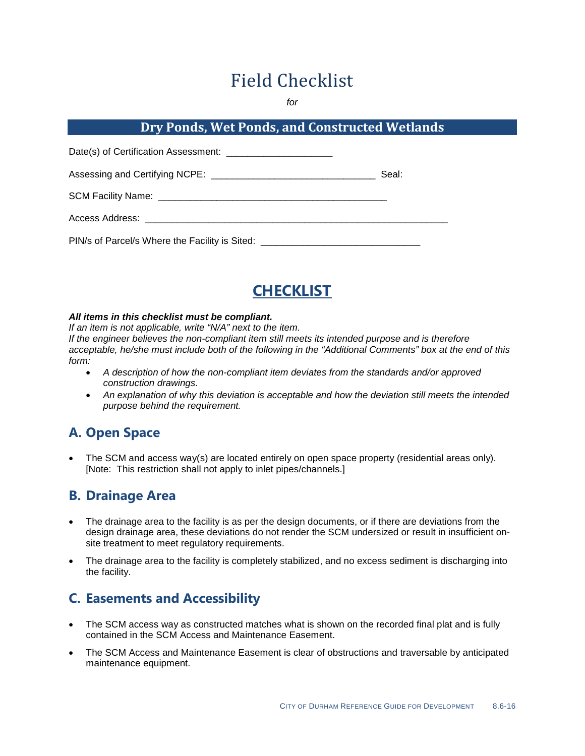# Field Checklist

*for*

#### **Dry Ponds, Wet Ponds, and Constructed Wetlands**

|                                                                                  | Seal: |
|----------------------------------------------------------------------------------|-------|
|                                                                                  |       |
| Access Address: ________________________________                                 |       |
| PIN/s of Parcel/s Where the Facility is Sited: _________________________________ |       |

# **CHECKLIST**

#### *All items in this checklist must be compliant.*

*If an item is not applicable, write "N/A" next to the item.*

*If the engineer believes the non-compliant item still meets its intended purpose and is therefore acceptable, he/she must include both of the following in the "Additional Comments" box at the end of this form:*

- *A description of how the non-compliant item deviates from the standards and/or approved construction drawings.*
- *An explanation of why this deviation is acceptable and how the deviation still meets the intended purpose behind the requirement.*

## **A. Open Space**

• The SCM and access way(s) are located entirely on open space property (residential areas only). [Note: This restriction shall not apply to inlet pipes/channels.]

#### **B. Drainage Area**

- The drainage area to the facility is as per the design documents, or if there are deviations from the design drainage area, these deviations do not render the SCM undersized or result in insufficient onsite treatment to meet regulatory requirements.
- The drainage area to the facility is completely stabilized, and no excess sediment is discharging into the facility.

### **C. Easements and Accessibility**

- The SCM access way as constructed matches what is shown on the recorded final plat and is fully contained in the SCM Access and Maintenance Easement.
- The SCM Access and Maintenance Easement is clear of obstructions and traversable by anticipated maintenance equipment.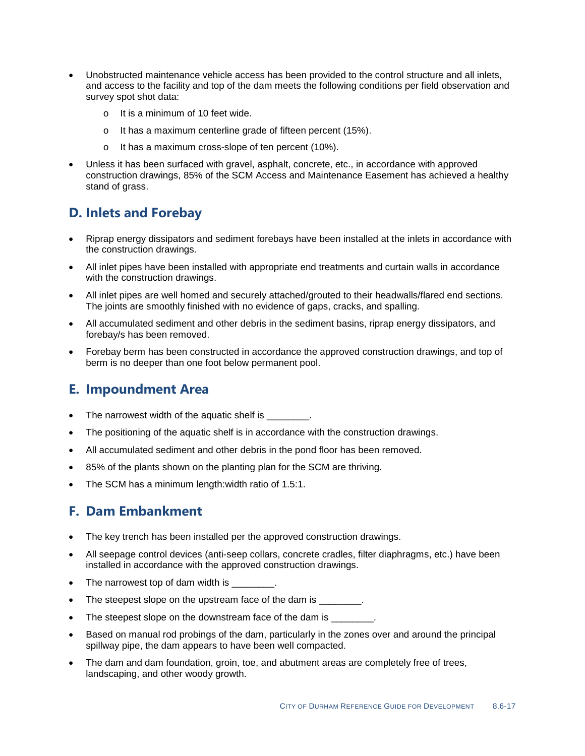- Unobstructed maintenance vehicle access has been provided to the control structure and all inlets, and access to the facility and top of the dam meets the following conditions per field observation and survey spot shot data:
	- o It is a minimum of 10 feet wide.
	- o It has a maximum centerline grade of fifteen percent (15%).
	- o It has a maximum cross-slope of ten percent (10%).
- Unless it has been surfaced with gravel, asphalt, concrete, etc., in accordance with approved construction drawings, 85% of the SCM Access and Maintenance Easement has achieved a healthy stand of grass.

#### **D. Inlets and Forebay**

- Riprap energy dissipators and sediment forebays have been installed at the inlets in accordance with the construction drawings.
- All inlet pipes have been installed with appropriate end treatments and curtain walls in accordance with the construction drawings.
- All inlet pipes are well homed and securely attached/grouted to their headwalls/flared end sections. The joints are smoothly finished with no evidence of gaps, cracks, and spalling.
- All accumulated sediment and other debris in the sediment basins, riprap energy dissipators, and forebay/s has been removed.
- Forebay berm has been constructed in accordance the approved construction drawings, and top of berm is no deeper than one foot below permanent pool.

#### **E. Impoundment Area**

- The narrowest width of the aquatic shelf is \_\_\_\_\_\_\_.
- The positioning of the aquatic shelf is in accordance with the construction drawings.
- All accumulated sediment and other debris in the pond floor has been removed.
- 85% of the plants shown on the planting plan for the SCM are thriving.
- The SCM has a minimum length: width ratio of 1.5:1.

#### **F. Dam Embankment**

- The key trench has been installed per the approved construction drawings.
- All seepage control devices (anti-seep collars, concrete cradles, filter diaphragms, etc.) have been installed in accordance with the approved construction drawings.
- The narrowest top of dam width is
- The steepest slope on the upstream face of the dam is \_\_\_\_\_\_\_\_.
- The steepest slope on the downstream face of the dam is \_\_\_\_\_\_\_\_.
- Based on manual rod probings of the dam, particularly in the zones over and around the principal spillway pipe, the dam appears to have been well compacted.
- The dam and dam foundation, groin, toe, and abutment areas are completely free of trees, landscaping, and other woody growth.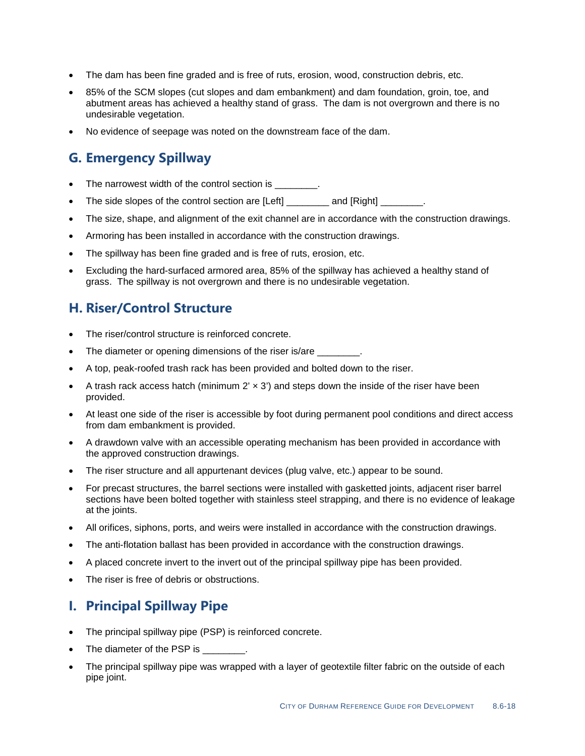- The dam has been fine graded and is free of ruts, erosion, wood, construction debris, etc.
- 85% of the SCM slopes (cut slopes and dam embankment) and dam foundation, groin, toe, and abutment areas has achieved a healthy stand of grass. The dam is not overgrown and there is no undesirable vegetation.
- No evidence of seepage was noted on the downstream face of the dam.

#### **G. Emergency Spillway**

- The narrowest width of the control section is  $\qquad \qquad$ .
- The side slopes of the control section are [Left] and [Right]  $\qquad \qquad$ .
- The size, shape, and alignment of the exit channel are in accordance with the construction drawings.
- Armoring has been installed in accordance with the construction drawings.
- The spillway has been fine graded and is free of ruts, erosion, etc.
- Excluding the hard-surfaced armored area, 85% of the spillway has achieved a healthy stand of grass. The spillway is not overgrown and there is no undesirable vegetation.

#### **H. Riser/Control Structure**

- The riser/control structure is reinforced concrete.
- The diameter or opening dimensions of the riser is/are  $\qquad \qquad$ .
- A top, peak-roofed trash rack has been provided and bolted down to the riser.
- A trash rack access hatch (minimum  $2' \times 3'$ ) and steps down the inside of the riser have been provided.
- At least one side of the riser is accessible by foot during permanent pool conditions and direct access from dam embankment is provided.
- A drawdown valve with an accessible operating mechanism has been provided in accordance with the approved construction drawings.
- The riser structure and all appurtenant devices (plug valve, etc.) appear to be sound.
- For precast structures, the barrel sections were installed with gasketted joints, adjacent riser barrel sections have been bolted together with stainless steel strapping, and there is no evidence of leakage at the joints.
- All orifices, siphons, ports, and weirs were installed in accordance with the construction drawings.
- The anti-flotation ballast has been provided in accordance with the construction drawings.
- A placed concrete invert to the invert out of the principal spillway pipe has been provided.
- The riser is free of debris or obstructions.

#### **I. Principal Spillway Pipe**

- The principal spillway pipe (PSP) is reinforced concrete.
- The diameter of the PSP is \_\_\_\_\_\_\_\_.
- The principal spillway pipe was wrapped with a layer of geotextile filter fabric on the outside of each pipe joint.